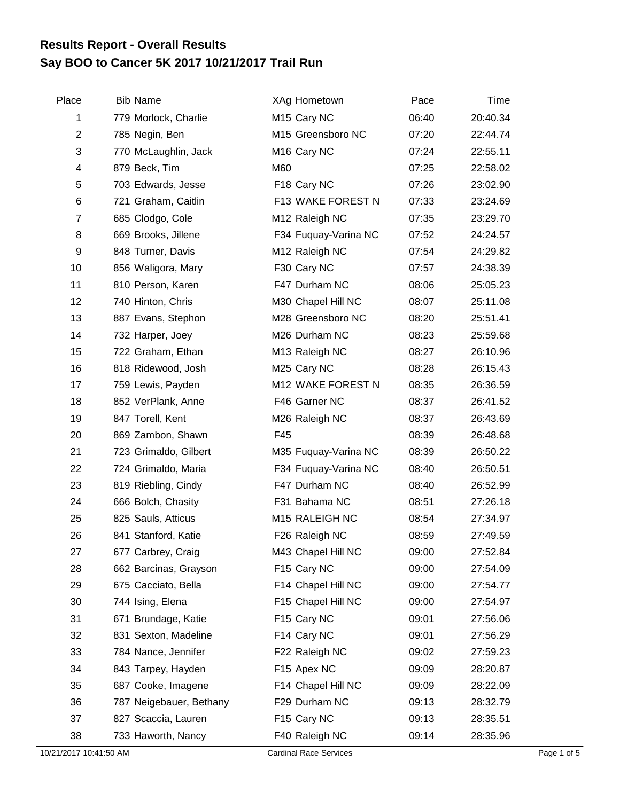## **Say BOO to Cancer 5K 2017 10/21/2017 Trail Run Results Report - Overall Results**

| Place                  | <b>Bib Name</b>         | XAg Hometown                  | Pace  | Time     |             |
|------------------------|-------------------------|-------------------------------|-------|----------|-------------|
| 1                      | 779 Morlock, Charlie    | M <sub>15</sub> Cary NC       | 06:40 | 20:40.34 |             |
| $\overline{2}$         | 785 Negin, Ben          | M15 Greensboro NC             | 07:20 | 22:44.74 |             |
| 3                      | 770 McLaughlin, Jack    | M <sub>16</sub> Cary NC       | 07:24 | 22:55.11 |             |
| 4                      | 879 Beck, Tim           | M60                           | 07:25 | 22:58.02 |             |
| 5                      | 703 Edwards, Jesse      | F18 Cary NC                   | 07:26 | 23:02.90 |             |
| 6                      | 721 Graham, Caitlin     | F13 WAKE FOREST N             | 07:33 | 23:24.69 |             |
| 7                      | 685 Clodgo, Cole        | M12 Raleigh NC                | 07:35 | 23:29.70 |             |
| 8                      | 669 Brooks, Jillene     | F34 Fuquay-Varina NC          | 07:52 | 24:24.57 |             |
| 9                      | 848 Turner, Davis       | M12 Raleigh NC                | 07:54 | 24:29.82 |             |
| 10                     | 856 Waligora, Mary      | F30 Cary NC                   | 07:57 | 24:38.39 |             |
| 11                     | 810 Person, Karen       | F47 Durham NC                 | 08:06 | 25:05.23 |             |
| 12                     | 740 Hinton, Chris       | M30 Chapel Hill NC            | 08:07 | 25:11.08 |             |
| 13                     | 887 Evans, Stephon      | M28 Greensboro NC             | 08:20 | 25:51.41 |             |
| 14                     | 732 Harper, Joey        | M26 Durham NC                 | 08:23 | 25:59.68 |             |
| 15                     | 722 Graham, Ethan       | M13 Raleigh NC                | 08:27 | 26:10.96 |             |
| 16                     | 818 Ridewood, Josh      | M25 Cary NC                   | 08:28 | 26:15.43 |             |
| 17                     | 759 Lewis, Payden       | M12 WAKE FOREST N             | 08:35 | 26:36.59 |             |
| 18                     | 852 VerPlank, Anne      | F46 Garner NC                 | 08:37 | 26:41.52 |             |
| 19                     | 847 Torell, Kent        | M26 Raleigh NC                | 08:37 | 26:43.69 |             |
| 20                     | 869 Zambon, Shawn       | F45                           | 08:39 | 26:48.68 |             |
| 21                     | 723 Grimaldo, Gilbert   | M35 Fuquay-Varina NC          | 08:39 | 26:50.22 |             |
| 22                     | 724 Grimaldo, Maria     | F34 Fuquay-Varina NC          | 08:40 | 26:50.51 |             |
| 23                     | 819 Riebling, Cindy     | F47 Durham NC                 | 08:40 | 26:52.99 |             |
| 24                     | 666 Bolch, Chasity      | F31 Bahama NC                 | 08:51 | 27:26.18 |             |
| 25                     | 825 Sauls, Atticus      | M15 RALEIGH NC                | 08:54 | 27:34.97 |             |
| 26                     | 841 Stanford, Katie     | F26 Raleigh NC                | 08:59 | 27:49.59 |             |
| 27                     | 677 Carbrey, Craig      | M43 Chapel Hill NC            | 09:00 | 27:52.84 |             |
| 28                     | 662 Barcinas, Grayson   | F15 Cary NC                   | 09:00 | 27:54.09 |             |
| 29                     | 675 Cacciato, Bella     | F14 Chapel Hill NC            | 09:00 | 27:54.77 |             |
| 30                     | 744 Ising, Elena        | F15 Chapel Hill NC            | 09:00 | 27:54.97 |             |
| 31                     | 671 Brundage, Katie     | F15 Cary NC                   | 09:01 | 27:56.06 |             |
| 32                     | 831 Sexton, Madeline    | F14 Cary NC                   | 09:01 | 27:56.29 |             |
| 33                     | 784 Nance, Jennifer     | F22 Raleigh NC                | 09:02 | 27:59.23 |             |
| 34                     | 843 Tarpey, Hayden      | F15 Apex NC                   | 09:09 | 28:20.87 |             |
| 35                     | 687 Cooke, Imagene      | F14 Chapel Hill NC            | 09:09 | 28:22.09 |             |
| 36                     | 787 Neigebauer, Bethany | F29 Durham NC                 | 09:13 | 28:32.79 |             |
| 37                     | 827 Scaccia, Lauren     | F15 Cary NC                   | 09:13 | 28:35.51 |             |
| 38                     | 733 Haworth, Nancy      | F40 Raleigh NC                | 09:14 | 28:35.96 |             |
| 10/21/2017 10:41:50 AM |                         | <b>Cardinal Race Services</b> |       |          | Page 1 of 5 |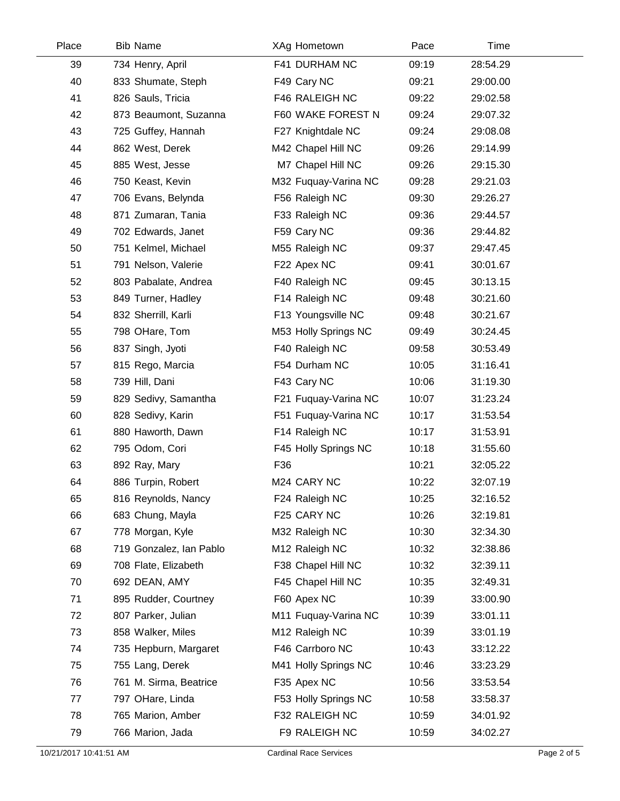| Place | <b>Bib Name</b>         | XAg Hometown         | Pace  | Time     |  |
|-------|-------------------------|----------------------|-------|----------|--|
| 39    | 734 Henry, April        | F41 DURHAM NC        | 09:19 | 28:54.29 |  |
| 40    | 833 Shumate, Steph      | F49 Cary NC          | 09:21 | 29:00.00 |  |
| 41    | 826 Sauls, Tricia       | F46 RALEIGH NC       | 09:22 | 29:02.58 |  |
| 42    | 873 Beaumont, Suzanna   | F60 WAKE FOREST N    | 09:24 | 29:07.32 |  |
| 43    | 725 Guffey, Hannah      | F27 Knightdale NC    | 09:24 | 29:08.08 |  |
| 44    | 862 West, Derek         | M42 Chapel Hill NC   | 09:26 | 29:14.99 |  |
| 45    | 885 West, Jesse         | M7 Chapel Hill NC    | 09:26 | 29:15.30 |  |
| 46    | 750 Keast, Kevin        | M32 Fuquay-Varina NC | 09:28 | 29:21.03 |  |
| 47    | 706 Evans, Belynda      | F56 Raleigh NC       | 09:30 | 29:26.27 |  |
| 48    | 871 Zumaran, Tania      | F33 Raleigh NC       | 09:36 | 29:44.57 |  |
| 49    | 702 Edwards, Janet      | F59 Cary NC          | 09:36 | 29:44.82 |  |
| 50    | 751 Kelmel, Michael     | M55 Raleigh NC       | 09:37 | 29:47.45 |  |
| 51    | 791 Nelson, Valerie     | F22 Apex NC          | 09:41 | 30:01.67 |  |
| 52    | 803 Pabalate, Andrea    | F40 Raleigh NC       | 09:45 | 30:13.15 |  |
| 53    | 849 Turner, Hadley      | F14 Raleigh NC       | 09:48 | 30:21.60 |  |
| 54    | 832 Sherrill, Karli     | F13 Youngsville NC   | 09:48 | 30:21.67 |  |
| 55    | 798 OHare, Tom          | M53 Holly Springs NC | 09:49 | 30:24.45 |  |
| 56    | 837 Singh, Jyoti        | F40 Raleigh NC       | 09:58 | 30:53.49 |  |
| 57    | 815 Rego, Marcia        | F54 Durham NC        | 10:05 | 31:16.41 |  |
| 58    | 739 Hill, Dani          | F43 Cary NC          | 10:06 | 31:19.30 |  |
| 59    | 829 Sedivy, Samantha    | F21 Fuquay-Varina NC | 10:07 | 31:23.24 |  |
| 60    | 828 Sedivy, Karin       | F51 Fuquay-Varina NC | 10:17 | 31:53.54 |  |
| 61    | 880 Haworth, Dawn       | F14 Raleigh NC       | 10:17 | 31:53.91 |  |
| 62    | 795 Odom, Cori          | F45 Holly Springs NC | 10:18 | 31:55.60 |  |
| 63    | 892 Ray, Mary           | F36                  | 10:21 | 32:05.22 |  |
| 64    | 886 Turpin, Robert      | M24 CARY NC          | 10:22 | 32:07.19 |  |
| 65    | 816 Reynolds, Nancy     | F24 Raleigh NC       | 10:25 | 32:16.52 |  |
| 66    | 683 Chung, Mayla        | F25 CARY NC          | 10:26 | 32:19.81 |  |
| 67    | 778 Morgan, Kyle        | M32 Raleigh NC       | 10:30 | 32:34.30 |  |
| 68    | 719 Gonzalez, Ian Pablo | M12 Raleigh NC       | 10:32 | 32:38.86 |  |
| 69    | 708 Flate, Elizabeth    | F38 Chapel Hill NC   | 10:32 | 32:39.11 |  |
| 70    | 692 DEAN, AMY           | F45 Chapel Hill NC   | 10:35 | 32:49.31 |  |
| 71    | 895 Rudder, Courtney    | F60 Apex NC          | 10:39 | 33:00.90 |  |
| 72    | 807 Parker, Julian      | M11 Fuquay-Varina NC | 10:39 | 33:01.11 |  |
| 73    | 858 Walker, Miles       | M12 Raleigh NC       | 10:39 | 33:01.19 |  |
| 74    | 735 Hepburn, Margaret   | F46 Carrboro NC      | 10:43 | 33:12.22 |  |
| 75    | 755 Lang, Derek         | M41 Holly Springs NC | 10:46 | 33:23.29 |  |
| 76    | 761 M. Sirma, Beatrice  | F35 Apex NC          | 10:56 | 33:53.54 |  |
| 77    | 797 OHare, Linda        | F53 Holly Springs NC | 10:58 | 33:58.37 |  |
| 78    | 765 Marion, Amber       | F32 RALEIGH NC       | 10:59 | 34:01.92 |  |
| 79    | 766 Marion, Jada        | F9 RALEIGH NC        | 10:59 | 34:02.27 |  |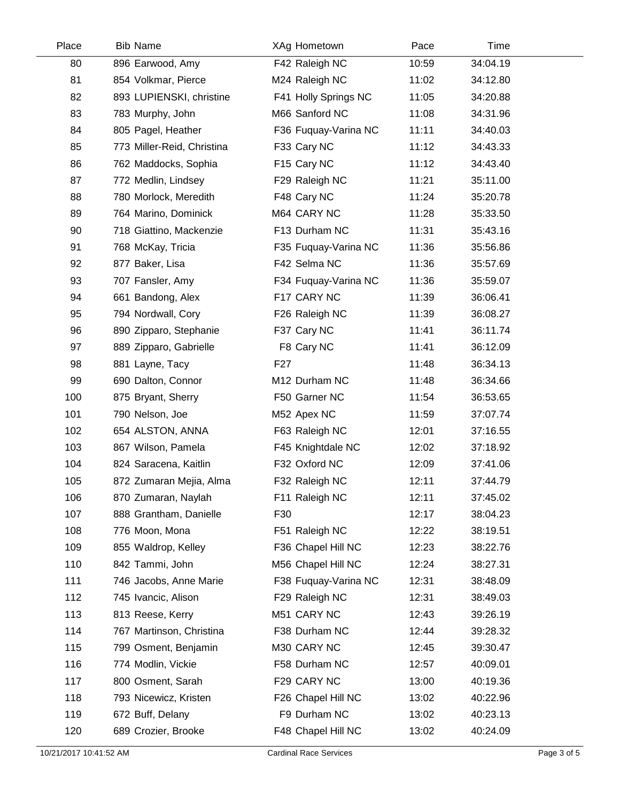| Place | <b>Bib Name</b>            | XAg Hometown         | Pace  | Time     |  |
|-------|----------------------------|----------------------|-------|----------|--|
| 80    | 896 Earwood, Amy           | F42 Raleigh NC       | 10:59 | 34:04.19 |  |
| 81    | 854 Volkmar, Pierce        | M24 Raleigh NC       | 11:02 | 34:12.80 |  |
| 82    | 893 LUPIENSKI, christine   | F41 Holly Springs NC | 11:05 | 34:20.88 |  |
| 83    | 783 Murphy, John           | M66 Sanford NC       | 11:08 | 34:31.96 |  |
| 84    | 805 Pagel, Heather         | F36 Fuquay-Varina NC | 11:11 | 34:40.03 |  |
| 85    | 773 Miller-Reid, Christina | F33 Cary NC          | 11:12 | 34:43.33 |  |
| 86    | 762 Maddocks, Sophia       | F15 Cary NC          | 11:12 | 34:43.40 |  |
| 87    | 772 Medlin, Lindsey        | F29 Raleigh NC       | 11:21 | 35:11.00 |  |
| 88    | 780 Morlock, Meredith      | F48 Cary NC          | 11:24 | 35:20.78 |  |
| 89    | 764 Marino, Dominick       | M64 CARY NC          | 11:28 | 35:33.50 |  |
| 90    | 718 Giattino, Mackenzie    | F13 Durham NC        | 11:31 | 35:43.16 |  |
| 91    | 768 McKay, Tricia          | F35 Fuquay-Varina NC | 11:36 | 35:56.86 |  |
| 92    | 877 Baker, Lisa            | F42 Selma NC         | 11:36 | 35:57.69 |  |
| 93    | 707 Fansler, Amy           | F34 Fuquay-Varina NC | 11:36 | 35:59.07 |  |
| 94    | 661 Bandong, Alex          | F17 CARY NC          | 11:39 | 36:06.41 |  |
| 95    | 794 Nordwall, Cory         | F26 Raleigh NC       | 11:39 | 36:08.27 |  |
| 96    | 890 Zipparo, Stephanie     | F37 Cary NC          | 11:41 | 36:11.74 |  |
| 97    | 889 Zipparo, Gabrielle     | F8 Cary NC           | 11:41 | 36:12.09 |  |
| 98    | 881 Layne, Tacy            | F <sub>27</sub>      | 11:48 | 36:34.13 |  |
| 99    | 690 Dalton, Connor         | M12 Durham NC        | 11:48 | 36:34.66 |  |
| 100   | 875 Bryant, Sherry         | F50 Garner NC        | 11:54 | 36:53.65 |  |
| 101   | 790 Nelson, Joe            | M52 Apex NC          | 11:59 | 37:07.74 |  |
| 102   | 654 ALSTON, ANNA           | F63 Raleigh NC       | 12:01 | 37:16.55 |  |
| 103   | 867 Wilson, Pamela         | F45 Knightdale NC    | 12:02 | 37:18.92 |  |
| 104   | 824 Saracena, Kaitlin      | F32 Oxford NC        | 12:09 | 37:41.06 |  |
| 105   | 872 Zumaran Mejia, Alma    | F32 Raleigh NC       | 12:11 | 37:44.79 |  |
| 106   | 870 Zumaran, Naylah        | F11 Raleigh NC       | 12:11 | 37:45.02 |  |
| 107   | 888 Grantham, Danielle     | F30                  | 12:17 | 38:04.23 |  |
| 108   | 776 Moon, Mona             | F51 Raleigh NC       | 12:22 | 38:19.51 |  |
| 109   | 855 Waldrop, Kelley        | F36 Chapel Hill NC   | 12:23 | 38:22.76 |  |
| 110   | 842 Tammi, John            | M56 Chapel Hill NC   | 12:24 | 38:27.31 |  |
| 111   | 746 Jacobs, Anne Marie     | F38 Fuquay-Varina NC | 12:31 | 38:48.09 |  |
| 112   | 745 Ivancic, Alison        | F29 Raleigh NC       | 12:31 | 38:49.03 |  |
| 113   | 813 Reese, Kerry           | M51 CARY NC          | 12:43 | 39:26.19 |  |
| 114   | 767 Martinson, Christina   | F38 Durham NC        | 12:44 | 39:28.32 |  |
| 115   | 799 Osment, Benjamin       | M30 CARY NC          | 12:45 | 39:30.47 |  |
| 116   | 774 Modlin, Vickie         | F58 Durham NC        | 12:57 | 40:09.01 |  |
| 117   | 800 Osment, Sarah          | F29 CARY NC          | 13:00 | 40:19.36 |  |
| 118   | 793 Nicewicz, Kristen      | F26 Chapel Hill NC   | 13:02 | 40:22.96 |  |
| 119   | 672 Buff, Delany           | F9 Durham NC         | 13:02 | 40:23.13 |  |
| 120   | 689 Crozier, Brooke        | F48 Chapel Hill NC   | 13:02 | 40:24.09 |  |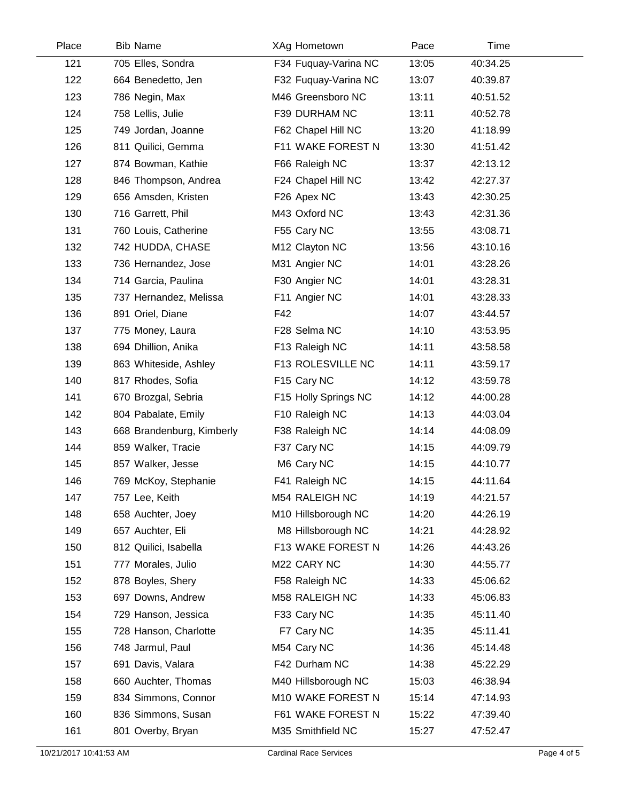| Place | <b>Bib Name</b>           | XAg Hometown         | Pace  | Time     |
|-------|---------------------------|----------------------|-------|----------|
| 121   | 705 Elles, Sondra         | F34 Fuquay-Varina NC | 13:05 | 40:34.25 |
| 122   | 664 Benedetto, Jen        | F32 Fuquay-Varina NC | 13:07 | 40:39.87 |
| 123   | 786 Negin, Max            | M46 Greensboro NC    | 13:11 | 40:51.52 |
| 124   | 758 Lellis, Julie         | F39 DURHAM NC        | 13:11 | 40:52.78 |
| 125   | 749 Jordan, Joanne        | F62 Chapel Hill NC   | 13:20 | 41:18.99 |
| 126   | 811 Quilici, Gemma        | F11 WAKE FOREST N    | 13:30 | 41:51.42 |
| 127   | 874 Bowman, Kathie        | F66 Raleigh NC       | 13:37 | 42:13.12 |
| 128   | 846 Thompson, Andrea      | F24 Chapel Hill NC   | 13:42 | 42:27.37 |
| 129   | 656 Amsden, Kristen       | F26 Apex NC          | 13:43 | 42:30.25 |
| 130   | 716 Garrett, Phil         | M43 Oxford NC        | 13:43 | 42:31.36 |
| 131   | 760 Louis, Catherine      | F55 Cary NC          | 13:55 | 43:08.71 |
| 132   | 742 HUDDA, CHASE          | M12 Clayton NC       | 13:56 | 43:10.16 |
| 133   | 736 Hernandez, Jose       | M31 Angier NC        | 14:01 | 43:28.26 |
| 134   | 714 Garcia, Paulina       | F30 Angier NC        | 14:01 | 43:28.31 |
| 135   | 737 Hernandez, Melissa    | F11 Angier NC        | 14:01 | 43:28.33 |
| 136   | 891 Oriel, Diane          | F42                  | 14:07 | 43:44.57 |
| 137   | 775 Money, Laura          | F28 Selma NC         | 14:10 | 43:53.95 |
| 138   | 694 Dhillion, Anika       | F13 Raleigh NC       | 14:11 | 43:58.58 |
| 139   | 863 Whiteside, Ashley     | F13 ROLESVILLE NC    | 14:11 | 43:59.17 |
| 140   | 817 Rhodes, Sofia         | F15 Cary NC          | 14:12 | 43:59.78 |
| 141   | 670 Brozgal, Sebria       | F15 Holly Springs NC | 14:12 | 44:00.28 |
| 142   | 804 Pabalate, Emily       | F10 Raleigh NC       | 14:13 | 44:03.04 |
| 143   | 668 Brandenburg, Kimberly | F38 Raleigh NC       | 14:14 | 44:08.09 |
| 144   | 859 Walker, Tracie        | F37 Cary NC          | 14:15 | 44:09.79 |
| 145   | 857 Walker, Jesse         | M6 Cary NC           | 14:15 | 44:10.77 |
| 146   | 769 McKoy, Stephanie      | F41 Raleigh NC       | 14:15 | 44:11.64 |
| 147   | 757 Lee, Keith            | M54 RALEIGH NC       | 14:19 | 44:21.57 |
| 148   | 658 Auchter, Joey         | M10 Hillsborough NC  | 14:20 | 44:26.19 |
| 149   | 657 Auchter, Eli          | M8 Hillsborough NC   | 14:21 | 44:28.92 |
| 150   | 812 Quilici, Isabella     | F13 WAKE FOREST N    | 14:26 | 44:43.26 |
| 151   | 777 Morales, Julio        | M22 CARY NC          | 14:30 | 44:55.77 |
| 152   | 878 Boyles, Shery         | F58 Raleigh NC       | 14:33 | 45:06.62 |
| 153   | 697 Downs, Andrew         | M58 RALEIGH NC       | 14:33 | 45:06.83 |
| 154   | 729 Hanson, Jessica       | F33 Cary NC          | 14:35 | 45:11.40 |
| 155   | 728 Hanson, Charlotte     | F7 Cary NC           | 14:35 | 45:11.41 |
| 156   | 748 Jarmul, Paul          | M54 Cary NC          | 14:36 | 45:14.48 |
| 157   | 691 Davis, Valara         | F42 Durham NC        | 14:38 | 45:22.29 |
| 158   | 660 Auchter, Thomas       | M40 Hillsborough NC  | 15:03 | 46:38.94 |
| 159   | 834 Simmons, Connor       | M10 WAKE FOREST N    | 15:14 | 47:14.93 |
| 160   | 836 Simmons, Susan        | F61 WAKE FOREST N    | 15:22 | 47:39.40 |
| 161   | 801 Overby, Bryan         | M35 Smithfield NC    | 15:27 | 47:52.47 |
|       |                           |                      |       |          |